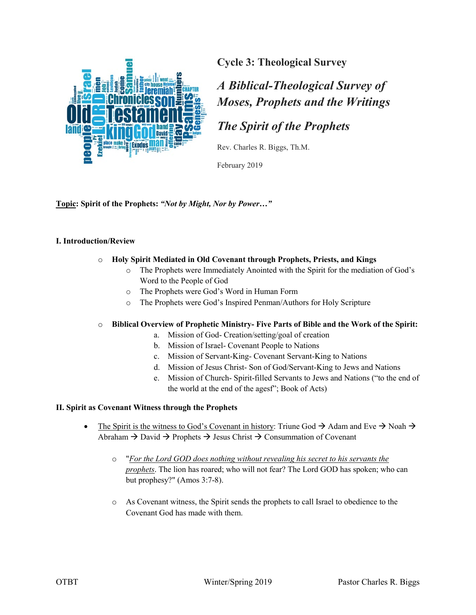

# *A Biblical-Theological Survey of Moses, Prophets and the Writings*

# *The Spirit of the Prophets*

Rev. Charles R. Biggs, Th.M.

February 2019

**Topic: Spirit of the Prophets:** *"Not by Might, Nor by Power…"*

### **I. Introduction/Review**

### o **Holy Spirit Mediated in Old Covenant through Prophets, Priests, and Kings**

- o The Prophets were Immediately Anointed with the Spirit for the mediation of God's Word to the People of God
- o The Prophets were God's Word in Human Form
- o The Prophets were God's Inspired Penman/Authors for Holy Scripture

#### o **Biblical Overview of Prophetic Ministry- Five Parts of Bible and the Work of the Spirit:**

- a. Mission of God- Creation/setting/goal of creation
- b. Mission of Israel- Covenant People to Nations
- c. Mission of Servant-King- Covenant Servant-King to Nations
- d. Mission of Jesus Christ- Son of God/Servant-King to Jews and Nations
- e. Mission of Church- Spirit-filled Servants to Jews and Nations ("to the end of the world at the end of the agesf"; Book of Acts)

#### **II. Spirit as Covenant Witness through the Prophets**

- The Spirit is the witness to God's Covenant in history: Triune God  $\rightarrow$  Adam and Eve  $\rightarrow$  Noah  $\rightarrow$ Abraham  $\rightarrow$  David  $\rightarrow$  Prophets  $\rightarrow$  Jesus Christ  $\rightarrow$  Consummation of Covenant
	- o "*For the Lord GOD does nothing without revealing his secret to his servants the prophets*. The lion has roared; who will not fear? The Lord GOD has spoken; who can but prophesy?" (Amos 3:7-8).
	- o As Covenant witness, the Spirit sends the prophets to call Israel to obedience to the Covenant God has made with them.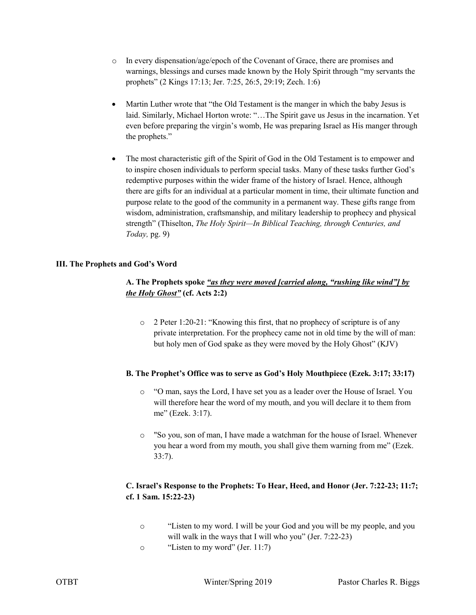- o In every dispensation/age/epoch of the Covenant of Grace, there are promises and warnings, blessings and curses made known by the Holy Spirit through "my servants the prophets" (2 Kings 17:13; Jer. 7:25, 26:5, 29:19; Zech. 1:6)
- Martin Luther wrote that "the Old Testament is the manger in which the baby Jesus is laid. Similarly, Michael Horton wrote: "…The Spirit gave us Jesus in the incarnation. Yet even before preparing the virgin's womb, He was preparing Israel as His manger through the prophets."
- The most characteristic gift of the Spirit of God in the Old Testament is to empower and to inspire chosen individuals to perform special tasks. Many of these tasks further God's redemptive purposes within the wider frame of the history of Israel. Hence, although there are gifts for an individual at a particular moment in time, their ultimate function and purpose relate to the good of the community in a permanent way. These gifts range from wisdom, administration, craftsmanship, and military leadership to prophecy and physical strength" (Thiselton, *The Holy Spirit—In Biblical Teaching, through Centuries, and Today,* pg. 9)

### **III. The Prophets and God's Word**

# **A. The Prophets spoke** *"as they were moved [carried along, "rushing like wind"] by the Holy Ghost"* **(cf. Acts 2:2)**

o 2 Peter 1:20-21: "Knowing this first, that no prophecy of scripture is of any private interpretation. For the prophecy came not in old time by the will of man: but holy men of God spake as they were moved by the Holy Ghost" (KJV)

#### **B. The Prophet's Office was to serve as God's Holy Mouthpiece (Ezek. 3:17; 33:17)**

- o "O man, says the Lord, I have set you as a leader over the House of Israel. You will therefore hear the word of my mouth, and you will declare it to them from me" (Ezek. 3:17).
- o "So you, son of man, I have made a watchman for the house of Israel. Whenever you hear a word from my mouth, you shall give them warning from me" (Ezek. 33:7).

# **C. Israel's Response to the Prophets: To Hear, Heed, and Honor (Jer. 7:22-23; 11:7; cf. 1 Sam. 15:22-23)**

- o "Listen to my word. I will be your God and you will be my people, and you will walk in the ways that I will who you" (Jer. 7:22-23)
- o "Listen to my word" (Jer. 11:7)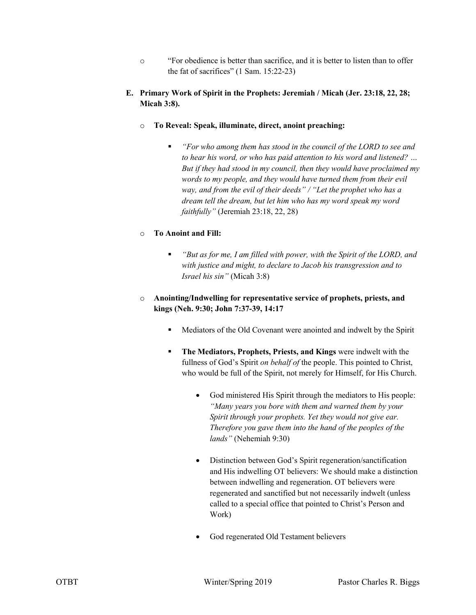- o "For obedience is better than sacrifice, and it is better to listen than to offer the fat of sacrifices" (1 Sam. 15:22-23)
- **E. Primary Work of Spirit in the Prophets: Jeremiah / Micah (Jer. 23:18, 22, 28; Micah 3:8).**
	- o **To Reveal: Speak, illuminate, direct, anoint preaching:**
		- *"For who among them has stood in the council of the LORD to see and to hear his word, or who has paid attention to his word and listened? … But if they had stood in my council, then they would have proclaimed my words to my people, and they would have turned them from their evil way, and from the evil of their deeds" / "Let the prophet who has a dream tell the dream, but let him who has my word speak my word faithfully"* (Jeremiah 23:18, 22, 28)

## o **To Anoint and Fill:**

- *"But as for me, I am filled with power, with the Spirit of the LORD, and with justice and might, to declare to Jacob his transgression and to Israel his sin"* (Micah 3:8)
- o **Anointing/Indwelling for representative service of prophets, priests, and kings (Neh. 9:30; John 7:37-39, 14:17**
	- Mediators of the Old Covenant were anointed and indwelt by the Spirit
	- **The Mediators, Prophets, Priests, and Kings** were indwelt with the fullness of God's Spirit *on behalf of* the people. This pointed to Christ, who would be full of the Spirit, not merely for Himself, for His Church.
		- God ministered His Spirit through the mediators to His people: *"Many years you bore with them and warned them by your Spirit through your prophets. Yet they would not give ear. Therefore you gave them into the hand of the peoples of the lands"* (Nehemiah 9:30)
		- Distinction between God's Spirit regeneration/sanctification and His indwelling OT believers: We should make a distinction between indwelling and regeneration. OT believers were regenerated and sanctified but not necessarily indwelt (unless called to a special office that pointed to Christ's Person and Work)
		- God regenerated Old Testament believers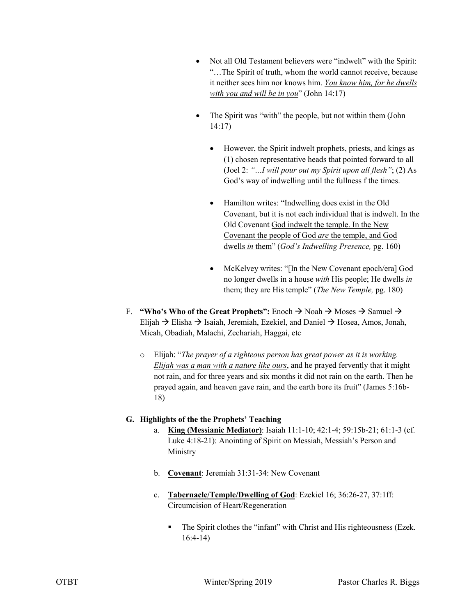- Not all Old Testament believers were "indwelt" with the Spirit: "…The Spirit of truth, whom the world cannot receive, because it neither sees him nor knows him. *You know him, for he dwells with you and will be in you*" (John 14:17)
- The Spirit was "with" the people, but not within them (John 14:17)
	- However, the Spirit indwelt prophets, priests, and kings as (1) chosen representative heads that pointed forward to all (Joel 2: *"…I will pour out my Spirit upon all flesh"*; (2) As God's way of indwelling until the fullness f the times.
	- Hamilton writes: "Indwelling does exist in the Old Covenant, but it is not each individual that is indwelt. In the Old Covenant God indwelt the temple. In the New Covenant the people of God *are* the temple, and God dwells *in* them" (*God's Indwelling Presence,* pg. 160)
	- McKelvey writes: "[In the New Covenant epoch/era] God no longer dwells in a house *with* His people; He dwells *in*  them; they are His temple" (*The New Temple,* pg. 180)
- F. **"Who's Who of the Great Prophets":** Enoch  $\rightarrow$  Noah  $\rightarrow$  Moses  $\rightarrow$  Samuel  $\rightarrow$ Elijah  $\rightarrow$  Elisha  $\rightarrow$  Isaiah, Jeremiah, Ezekiel, and Daniel  $\rightarrow$  Hosea, Amos, Jonah, Micah, Obadiah, Malachi, Zechariah, Haggai, etc
	- o Elijah: "*The prayer of a righteous person has great power as it is working. Elijah was a man with a nature like ours*, and he prayed fervently that it might not rain, and for three years and six months it did not rain on the earth. Then he prayed again, and heaven gave rain, and the earth bore its fruit" (James 5:16b-18)

## **G. Highlights of the the Prophets' Teaching**

- a. **King (Messianic Mediator)**: Isaiah 11:1-10; 42:1-4; 59:15b-21; 61:1-3 (cf. Luke 4:18-21): Anointing of Spirit on Messiah, Messiah's Person and Ministry
- b. **Covenant**: Jeremiah 31:31-34: New Covenant
- c. **Tabernacle/Temple/Dwelling of God**: Ezekiel 16; 36:26-27, 37:1ff: Circumcision of Heart/Regeneration
	- The Spirit clothes the "infant" with Christ and His righteousness (Ezek. 16:4-14)